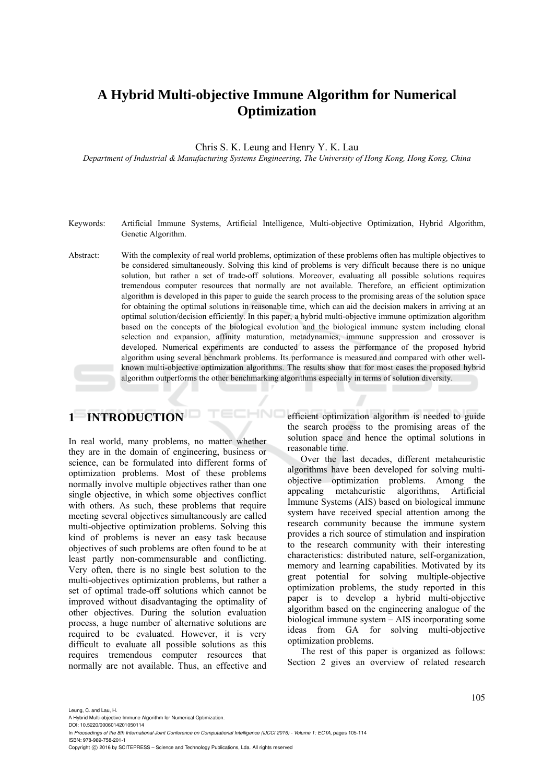# **A Hybrid Multi-objective Immune Algorithm for Numerical Optimization**

Chris S. K. Leung and Henry Y. K. Lau

*Department of Industrial & Manufacturing Systems Engineering, The University of Hong Kong, Hong Kong, China* 

- Keywords: Artificial Immune Systems, Artificial Intelligence, Multi-objective Optimization, Hybrid Algorithm, Genetic Algorithm.
- Abstract: With the complexity of real world problems, optimization of these problems often has multiple objectives to be considered simultaneously. Solving this kind of problems is very difficult because there is no unique solution, but rather a set of trade-off solutions. Moreover, evaluating all possible solutions requires tremendous computer resources that normally are not available. Therefore, an efficient optimization algorithm is developed in this paper to guide the search process to the promising areas of the solution space for obtaining the optimal solutions in reasonable time, which can aid the decision makers in arriving at an optimal solution/decision efficiently. In this paper, a hybrid multi-objective immune optimization algorithm based on the concepts of the biological evolution and the biological immune system including clonal selection and expansion, affinity maturation, metadynamics, immune suppression and crossover is developed. Numerical experiments are conducted to assess the performance of the proposed hybrid algorithm using several benchmark problems. Its performance is measured and compared with other wellknown multi-objective optimization algorithms. The results show that for most cases the proposed hybrid algorithm outperforms the other benchmarking algorithms especially in terms of solution diversity.

HNO

# **1 INTRODUCTION**

In real world, many problems, no matter whether they are in the domain of engineering, business or science, can be formulated into different forms of optimization problems. Most of these problems normally involve multiple objectives rather than one single objective, in which some objectives conflict with others. As such, these problems that require meeting several objectives simultaneously are called multi-objective optimization problems. Solving this kind of problems is never an easy task because objectives of such problems are often found to be at least partly non-commensurable and conflicting. Very often, there is no single best solution to the multi-objectives optimization problems, but rather a set of optimal trade-off solutions which cannot be improved without disadvantaging the optimality of other objectives. During the solution evaluation process, a huge number of alternative solutions are required to be evaluated. However, it is very difficult to evaluate all possible solutions as this requires tremendous computer resources that normally are not available. Thus, an effective and

efficient optimization algorithm is needed to guide the search process to the promising areas of the solution space and hence the optimal solutions in reasonable time.

Over the last decades, different metaheuristic algorithms have been developed for solving multiobjective optimization problems. Among the appealing metaheuristic algorithms, Artificial Immune Systems (AIS) based on biological immune system have received special attention among the research community because the immune system provides a rich source of stimulation and inspiration to the research community with their interesting characteristics: distributed nature, self-organization, memory and learning capabilities. Motivated by its great potential for solving multiple-objective optimization problems, the study reported in this paper is to develop a hybrid multi-objective algorithm based on the engineering analogue of the biological immune system – AIS incorporating some ideas from GA for solving multi-objective optimization problems.

The rest of this paper is organized as follows: Section 2 gives an overview of related research

Leung, C. and Lau, H.

A Hybrid Multi-objective Immune Algorithm for Numerical Optimization. DOI: 10.5220/0006014201050114

In *Proceedings of the 8th International Joint Conference on Computational Intelligence (IJCCI 2016) - Volume 1: ECTA*, pages 105-114 ISBN: 978-989-758-201-1

Copyright (C) 2016 by SCITEPRESS - Science and Technology Publications, Lda. All rights reserved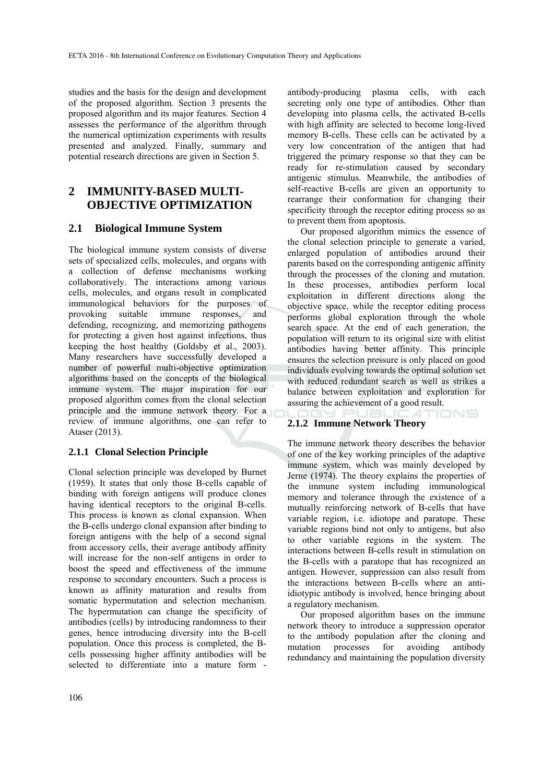studies and the basis for the design and development of the proposed algorithm. Section 3 presents the proposed algorithm and its major features. Section 4 assesses the performance of the algorithm through the numerical optimization experiments with results presented and analyzed. Finally, summary and potential research directions are given in Section 5.

## **2 IMMUNITY-BASED MULTI-OBJECTIVE OPTIMIZATION**

## **2.1 Biological Immune System**

The biological immune system consists of diverse sets of specialized cells, molecules, and organs with a collection of defense mechanisms working collaboratively. The interactions among various cells, molecules, and organs result in complicated immunological behaviors for the purposes of provoking suitable immune responses, and defending, recognizing, and memorizing pathogens for protecting a given host against infections, thus keeping the host healthy (Goldsby et al., 2003). Many researchers have successfully developed a number of powerful multi-objective optimization algorithms based on the concepts of the biological immune system. The major inspiration for our proposed algorithm comes from the clonal selection principle and the immune network theory. For a review of immune algorithms, one can refer to Ataser (2013).

## **2.1.1 Clonal Selection Principle**

Clonal selection principle was developed by Burnet (1959). It states that only those B-cells capable of binding with foreign antigens will produce clones having identical receptors to the original B-cells. This process is known as clonal expansion. When the B-cells undergo clonal expansion after binding to foreign antigens with the help of a second signal from accessory cells, their average antibody affinity will increase for the non-self antigens in order to boost the speed and effectiveness of the immune response to secondary encounters. Such a process is known as affinity maturation and results from somatic hypermutation and selection mechanism. The hypermutation can change the specificity of antibodies (cells) by introducing randomness to their genes, hence introducing diversity into the B-cell population. Once this process is completed, the Bcells possessing higher affinity antibodies will be selected to differentiate into a mature form -

antibody-producing plasma cells, with each secreting only one type of antibodies. Other than developing into plasma cells, the activated B-cells with high affinity are selected to become long-lived memory B-cells. These cells can be activated by a very low concentration of the antigen that had triggered the primary response so that they can be ready for re-stimulation caused by secondary antigenic stimulus. Meanwhile, the antibodies of self-reactive B-cells are given an opportunity to rearrange their conformation for changing their specificity through the receptor editing process so as to prevent them from apoptosis.

Our proposed algorithm mimics the essence of the clonal selection principle to generate a varied, enlarged population of antibodies around their parents based on the corresponding antigenic affinity through the processes of the cloning and mutation. In these processes, antibodies perform local exploitation in different directions along the objective space, while the receptor editing process performs global exploration through the whole search space. At the end of each generation, the population will return to its original size with elitist antibodies having better affinity. This principle ensures the selection pressure is only placed on good individuals evolving towards the optimal solution set with reduced redundant search as well as strikes a balance between exploitation and exploration for assuring the achievement of a good result. **IONS** 

### **2.1.2 Immune Network Theory**

The immune network theory describes the behavior of one of the key working principles of the adaptive immune system, which was mainly developed by Jerne (1974). The theory explains the properties of the immune system including immunological memory and tolerance through the existence of a mutually reinforcing network of B-cells that have variable region, i.e. idiotope and paratope. These variable regions bind not only to antigens, but also to other variable regions in the system. The interactions between B-cells result in stimulation on the B-cells with a paratope that has recognized an antigen. However, suppression can also result from the interactions between B-cells where an antiidiotypic antibody is involved, hence bringing about a regulatory mechanism.

Our proposed algorithm bases on the immune network theory to introduce a suppression operator to the antibody population after the cloning and mutation processes for avoiding antibody redundancy and maintaining the population diversity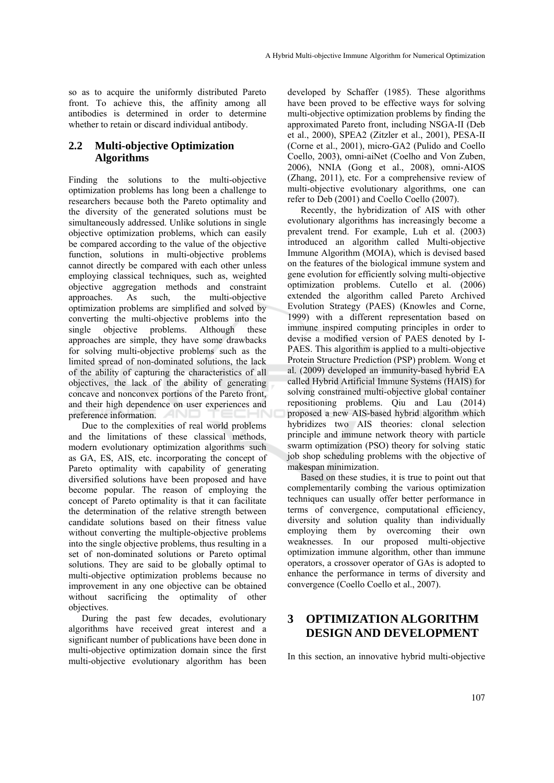so as to acquire the uniformly distributed Pareto front. To achieve this, the affinity among all antibodies is determined in order to determine whether to retain or discard individual antibody.

## **2.2 Multi-objective Optimization Algorithms**

Finding the solutions to the multi-objective optimization problems has long been a challenge to researchers because both the Pareto optimality and the diversity of the generated solutions must be simultaneously addressed. Unlike solutions in single objective optimization problems, which can easily be compared according to the value of the objective function, solutions in multi-objective problems cannot directly be compared with each other unless employing classical techniques, such as, weighted objective aggregation methods and constraint approaches. As such, the multi-objective optimization problems are simplified and solved by converting the multi-objective problems into the single objective problems. Although these approaches are simple, they have some drawbacks for solving multi-objective problems such as the limited spread of non-dominated solutions, the lack of the ability of capturing the characteristics of all objectives, the lack of the ability of generating concave and nonconvex portions of the Pareto front, and their high dependence on user experiences and preference information.

Due to the complexities of real world problems and the limitations of these classical methods, modern evolutionary optimization algorithms such as GA, ES, AIS, etc. incorporating the concept of Pareto optimality with capability of generating diversified solutions have been proposed and have become popular. The reason of employing the concept of Pareto optimality is that it can facilitate the determination of the relative strength between candidate solutions based on their fitness value without converting the multiple-objective problems into the single objective problems, thus resulting in a set of non-dominated solutions or Pareto optimal solutions. They are said to be globally optimal to multi-objective optimization problems because no improvement in any one objective can be obtained without sacrificing the optimality of other objectives.

During the past few decades, evolutionary algorithms have received great interest and a significant number of publications have been done in multi-objective optimization domain since the first multi-objective evolutionary algorithm has been

developed by Schaffer (1985). These algorithms have been proved to be effective ways for solving multi-objective optimization problems by finding the approximated Pareto front, including NSGA-II (Deb et al., 2000), SPEA2 (Zitzler et al., 2001), PESA-II (Corne et al., 2001), micro-GA2 (Pulido and Coello Coello, 2003), omni-aiNet (Coelho and Von Zuben, 2006), NNIA (Gong et al., 2008), omni-AIOS (Zhang, 2011), etc. For a comprehensive review of multi-objective evolutionary algorithms, one can refer to Deb (2001) and Coello Coello (2007).

Recently, the hybridization of AIS with other evolutionary algorithms has increasingly become a prevalent trend. For example, Luh et al. (2003) introduced an algorithm called Multi-objective Immune Algorithm (MOIA), which is devised based on the features of the biological immune system and gene evolution for efficiently solving multi-objective optimization problems. Cutello et al. (2006) extended the algorithm called Pareto Archived Evolution Strategy (PAES) (Knowles and Corne, 1999) with a different representation based on immune inspired computing principles in order to devise a modified version of PAES denoted by I-PAES. This algorithm is applied to a multi-objective Protein Structure Prediction (PSP) problem. Wong et al. (2009) developed an immunity-based hybrid EA called Hybrid Artificial Immune Systems (HAIS) for solving constrained multi-objective global container repositioning problems. Qiu and Lau (2014) proposed a new AIS-based hybrid algorithm which hybridizes two AIS theories: clonal selection principle and immune network theory with particle swarm optimization (PSO) theory for solving static job shop scheduling problems with the objective of makespan minimization.

Based on these studies, it is true to point out that complementarily combing the various optimization techniques can usually offer better performance in terms of convergence, computational efficiency, diversity and solution quality than individually employing them by overcoming their own weaknesses. In our proposed multi-objective optimization immune algorithm, other than immune operators, a crossover operator of GAs is adopted to enhance the performance in terms of diversity and convergence (Coello Coello et al., 2007).

## **3 OPTIMIZATION ALGORITHM DESIGN AND DEVELOPMENT**

In this section, an innovative hybrid multi-objective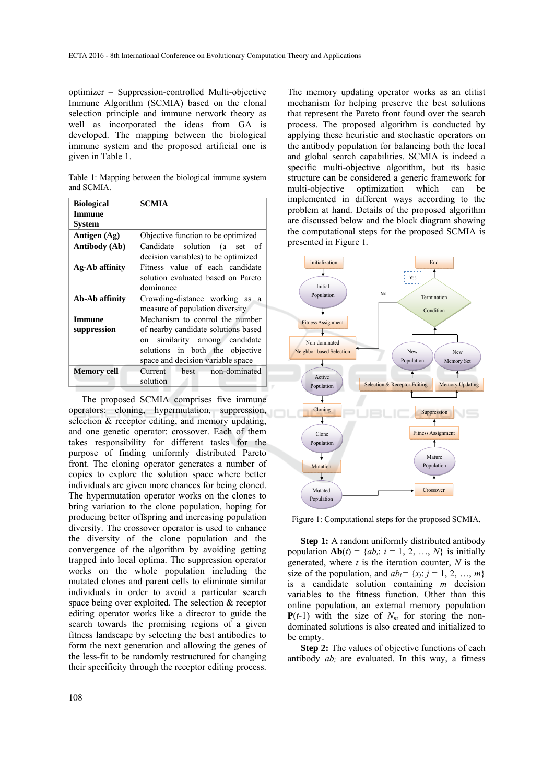optimizer – Suppression-controlled Multi-objective Immune Algorithm (SCMIA) based on the clonal selection principle and immune network theory as well as incorporated the ideas from GA is developed. The mapping between the biological immune system and the proposed artificial one is given in Table 1.

Table 1: Mapping between the biological immune system and SCMIA.

| <b>Biological</b>            | <b>SCMIA</b>                                                                                                                                                                       |  |  |  |
|------------------------------|------------------------------------------------------------------------------------------------------------------------------------------------------------------------------------|--|--|--|
| <b>Immune</b>                |                                                                                                                                                                                    |  |  |  |
| <b>System</b>                |                                                                                                                                                                                    |  |  |  |
| Antigen (Ag)                 | Objective function to be optimized                                                                                                                                                 |  |  |  |
| Antibody (Ab)                | Candidate solution (a set<br>- of<br>decision variables) to be optimized                                                                                                           |  |  |  |
| Ag-Ab affinity               | Fitness value of each candidate<br>solution evaluated based on Pareto<br>dominance                                                                                                 |  |  |  |
| Ab-Ab affinity               | Crowding-distance working as a<br>measure of population diversity                                                                                                                  |  |  |  |
| <b>Immune</b><br>suppression | Mechanism to control the number<br>of nearby candidate solutions based<br>similarity among candidate<br>on<br>solutions in both the objective<br>space and decision variable space |  |  |  |
| <b>Memory cell</b>           | non-dominated<br>Current<br><b>best</b><br>solution                                                                                                                                |  |  |  |

The proposed SCMIA comprises five immune operators: cloning, hypermutation, suppression, selection & receptor editing, and memory updating, and one genetic operator: crossover. Each of them takes responsibility for different tasks for the purpose of finding uniformly distributed Pareto front. The cloning operator generates a number of copies to explore the solution space where better individuals are given more chances for being cloned. The hypermutation operator works on the clones to bring variation to the clone population, hoping for producing better offspring and increasing population diversity. The crossover operator is used to enhance the diversity of the clone population and the convergence of the algorithm by avoiding getting trapped into local optima. The suppression operator works on the whole population including the mutated clones and parent cells to eliminate similar individuals in order to avoid a particular search space being over exploited. The selection & receptor editing operator works like a director to guide the search towards the promising regions of a given fitness landscape by selecting the best antibodies to form the next generation and allowing the genes of the less-fit to be randomly restructured for changing their specificity through the receptor editing process.

The memory updating operator works as an elitist mechanism for helping preserve the best solutions that represent the Pareto front found over the search process. The proposed algorithm is conducted by applying these heuristic and stochastic operators on the antibody population for balancing both the local and global search capabilities. SCMIA is indeed a specific multi-objective algorithm, but its basic structure can be considered a generic framework for multi-objective optimization which can be implemented in different ways according to the problem at hand. Details of the proposed algorithm are discussed below and the block diagram showing the computational steps for the proposed SCMIA is presented in Figure 1.



Figure 1: Computational steps for the proposed SCMIA.

**Step 1:** A random uniformly distributed antibody population  $\mathbf{Ab}(t) = \{ab_i: i = 1, 2, ..., N\}$  is initially generated, where *t* is the iteration counter, *N* is the size of the population, and  $ab_i = \{x_i: j = 1, 2, ..., m\}$ is a candidate solution containing *m* decision variables to the fitness function. Other than this online population, an external memory population  $P(t-1)$  with the size of  $N_m$  for storing the nondominated solutions is also created and initialized to be empty.

**Step 2:** The values of objective functions of each antibody *abi* are evaluated. In this way, a fitness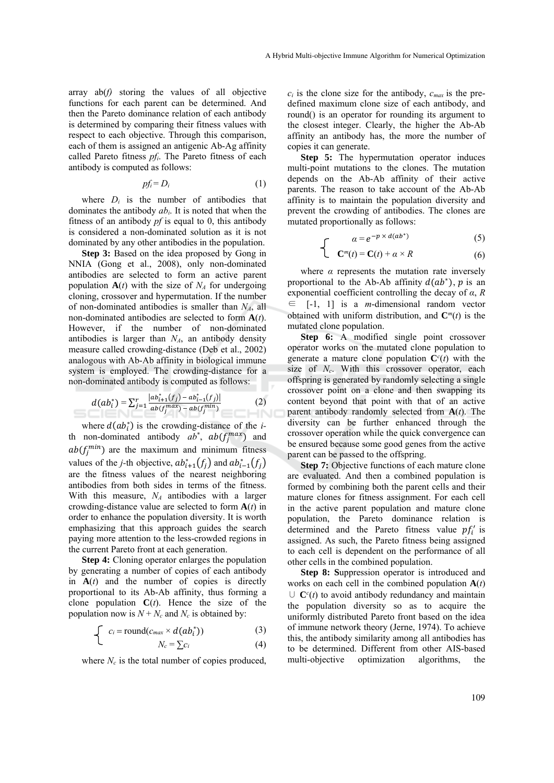array  $ab(f)$  storing the values of all objective functions for each parent can be determined. And then the Pareto dominance relation of each antibody is determined by comparing their fitness values with respect to each objective. Through this comparison, each of them is assigned an antigenic Ab-Ag affinity called Pareto fitness *pf<sub>i</sub>*. The Pareto fitness of each antibody is computed as follows:

$$
pf_i = D_i \tag{1}
$$

where  $D_i$  is the number of antibodies that dominates the antibody *abi*. It is noted that when the fitness of an antibody *pf* is equal to 0, this antibody is considered a non-dominated solution as it is not dominated by any other antibodies in the population.

**Step 3:** Based on the idea proposed by Gong in NNIA (Gong et al., 2008), only non-dominated antibodies are selected to form an active parent population  $A(t)$  with the size of  $N_A$  for undergoing cloning, crossover and hypermutation. If the number of non-dominated antibodies is smaller than  $N_A$ , all non-dominated antibodies are selected to form **A**(*t*). However, if the number of non-dominated antibodies is larger than  $N_A$ , an antibody density measure called crowding-distance (Deb et al., 2002) analogous with Ab-Ab affinity in biological immune system is employed. The crowding-distance for a non-dominated antibody is computed as follows:

$$
d(ab_i^*) = \sum_{j=1}^r \frac{|ab_{i+1}^*(f_j) - ab_{i-1}^*(f_j)|}{ab(f_j^{max}) - ab(f_j^{min})}
$$
(2)

where  $d(ab_i^*)$  is the crowding-distance of the *i*th non-dominated antibody  $ab^*$ ,  $ab(f_j^{max})$  and  $ab(f_j^{min})$  are the maximum and minimum fitness values of the *j*-th objective,  $ab_{i+1}^*(f_j)$  and  $ab_{i-1}^*(f_j)$ are the fitness values of the nearest neighboring antibodies from both sides in terms of the fitness. With this measure, *NA* antibodies with a larger crowding-distance value are selected to form **A**(*t*) in order to enhance the population diversity. It is worth emphasizing that this approach guides the search paying more attention to the less-crowded regions in the current Pareto front at each generation.

**Step 4:** Cloning operator enlarges the population by generating a number of copies of each antibody in  $A(t)$  and the number of copies is directly proportional to its Ab-Ab affinity, thus forming a clone population  $C(t)$ . Hence the size of the population now is  $N + N_c$  and  $N_c$  is obtained by:

$$
\begin{cases}\nc_i = \text{round}(c_{\text{max}} \times d(ab_i^*))\n\end{cases} (3)
$$

$$
N_c = \sum c_i \tag{4}
$$

where  $N_c$  is the total number of copies produced,

 $c_i$  is the clone size for the antibody,  $c_{max}$  is the predefined maximum clone size of each antibody, and round() is an operator for rounding its argument to the closest integer. Clearly, the higher the Ab-Ab affinity an antibody has, the more the number of copies it can generate.

**Step 5:** The hypermutation operator induces multi-point mutations to the clones. The mutation depends on the Ab-Ab affinity of their active parents. The reason to take account of the Ab-Ab affinity is to maintain the population diversity and prevent the crowding of antibodies. The clones are mutated proportionally as follows:

 $\Gamma$ 

$$
\alpha = e^{-p \times d(ab^*)} \tag{5}
$$

$$
\sum \mathbf{C}^m(t) = \mathbf{C}(t) + \alpha \times R \tag{6}
$$

where  $\alpha$  represents the mutation rate inversely proportional to the Ab-Ab affinity  $d(ab^*)$ , *p* is an exponential coefficient controlling the decay of *α*, *R*  ∈ [-1, 1] is a *m*-dimensional random vector obtained with uniform distribution, and  $\mathbf{C}^m(t)$  is the mutated clone population.

Step 6: A modified single point crossover operator works on the mutated clone population to generate a mature clone population  $\mathbf{C}^c(t)$  with the size of *N<sub>c</sub>*. With this crossover operator, each offspring is generated by randomly selecting a single crossover point on a clone and then swapping its content beyond that point with that of an active parent antibody randomly selected from **A**(*t*). The diversity can be further enhanced through the crossover operation while the quick convergence can be ensured because some good genes from the active parent can be passed to the offspring.

**Step 7:** Objective functions of each mature clone are evaluated. And then a combined population is formed by combining both the parent cells and their mature clones for fitness assignment. For each cell in the active parent population and mature clone population, the Pareto dominance relation is determined and the Pareto fitness value  $pf'_i$  is assigned. As such, the Pareto fitness being assigned to each cell is dependent on the performance of all other cells in the combined population.

**Step 8: S**uppression operator is introduced and works on each cell in the combined population  $A(t)$ ∪  $\mathbf{C}^c(t)$  to avoid antibody redundancy and maintain the population diversity so as to acquire the uniformly distributed Pareto front based on the idea of immune network theory (Jerne, 1974). To achieve this, the antibody similarity among all antibodies has to be determined. Different from other AIS-based multi-objective optimization algorithms, the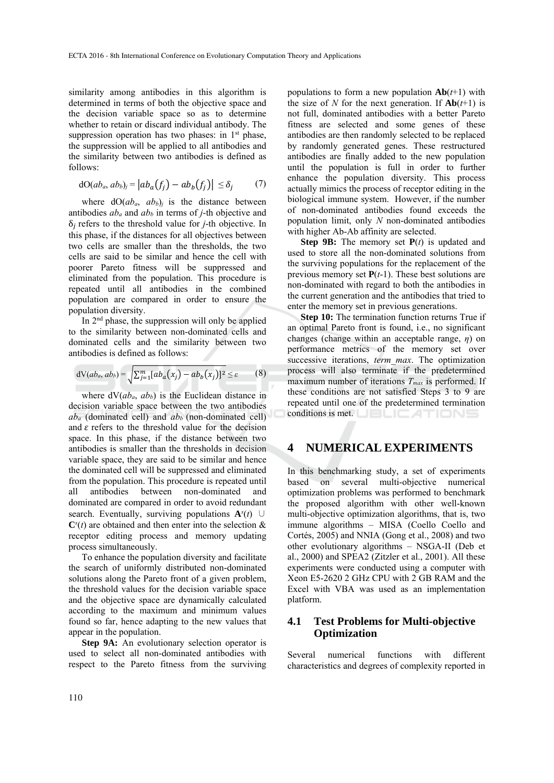similarity among antibodies in this algorithm is determined in terms of both the objective space and the decision variable space so as to determine whether to retain or discard individual antibody. The suppression operation has two phases: in  $1<sup>st</sup>$  phase, the suppression will be applied to all antibodies and the similarity between two antibodies is defined as follows:

$$
dO(ab_a, ab_b)_j = |ab_a(f_j) - ab_b(f_j)| \leq \delta_j \qquad (7)
$$

where  $dO(ab_a, ab_b)$  is the distance between antibodies  $ab_a$  and  $ab_b$  in terms of *j*-th objective and  $\delta_i$  refers to the threshold value for *j*-th objective. In this phase, if the distances for all objectives between two cells are smaller than the thresholds, the two cells are said to be similar and hence the cell with poorer Pareto fitness will be suppressed and eliminated from the population. This procedure is repeated until all antibodies in the combined population are compared in order to ensure the population diversity.

In 2nd phase, the suppression will only be applied to the similarity between non-dominated cells and dominated cells and the similarity between two antibodies is defined as follows:

$$
dV(ab_a, ab_b) = \sqrt{\sum_{j=1}^m [ab_a(x_j) - ab_b(x_j)]^2} \leq \varepsilon
$$
 (8)

where  $dV(ab_a, ab_b)$  is the Euclidean distance in decision variable space between the two antibodies  $ab_a$  (dominated cell) and  $ab_b$  (non-dominated cell) and  $\varepsilon$  refers to the threshold value for the decision space. In this phase, if the distance between two antibodies is smaller than the thresholds in decision variable space, they are said to be similar and hence the dominated cell will be suppressed and eliminated from the population. This procedure is repeated until all antibodies between non-dominated and dominated are compared in order to avoid redundant search. Eventually, surviving populations  $A^{s}(t)$  ∪  $\mathbf{C}^s(t)$  are obtained and then enter into the selection  $\&$ receptor editing process and memory updating process simultaneously.

To enhance the population diversity and facilitate the search of uniformly distributed non-dominated solutions along the Pareto front of a given problem, the threshold values for the decision variable space and the objective space are dynamically calculated according to the maximum and minimum values found so far, hence adapting to the new values that appear in the population.

**Step 9A:** An evolutionary selection operator is used to select all non-dominated antibodies with respect to the Pareto fitness from the surviving

populations to form a new population  $\mathbf{Ab}(t+1)$  with the size of *N* for the next generation. If  $\mathbf{Ab}(t+1)$  is not full, dominated antibodies with a better Pareto fitness are selected and some genes of these antibodies are then randomly selected to be replaced by randomly generated genes. These restructured antibodies are finally added to the new population until the population is full in order to further enhance the population diversity. This process actually mimics the process of receptor editing in the biological immune system. However, if the number of non-dominated antibodies found exceeds the population limit, only *N* non-dominated antibodies with higher Ab-Ab affinity are selected.

**Step 9B:** The memory set **P**(*t*) is updated and used to store all the non-dominated solutions from the surviving populations for the replacement of the previous memory set **P**(*t*-1). These best solutions are non-dominated with regard to both the antibodies in the current generation and the antibodies that tried to enter the memory set in previous generations.

**Step 10:** The termination function returns True if an optimal Pareto front is found, i.e., no significant changes (change within an acceptable range, *η*) on performance metrics of the memory set over successive iterations, *term\_max*. The optimization process will also terminate if the predetermined maximum number of iterations *Tmax* is performed. If these conditions are not satisfied Steps 3 to 9 are repeated until one of the predetermined termination conditions is met. **LIBLICATIONS** 

## **4 NUMERICAL EXPERIMENTS**

In this benchmarking study, a set of experiments based on several multi-objective numerical optimization problems was performed to benchmark the proposed algorithm with other well-known multi-objective optimization algorithms, that is, two immune algorithms – MISA (Coello Coello and Cortés, 2005) and NNIA (Gong et al., 2008) and two other evolutionary algorithms – NSGA-II (Deb et al., 2000) and SPEA2 (Zitzler et al., 2001). All these experiments were conducted using a computer with Xeon E5-2620 2 GHz CPU with 2 GB RAM and the Excel with VBA was used as an implementation platform.

## **4.1 Test Problems for Multi-objective Optimization**

Several numerical functions with different characteristics and degrees of complexity reported in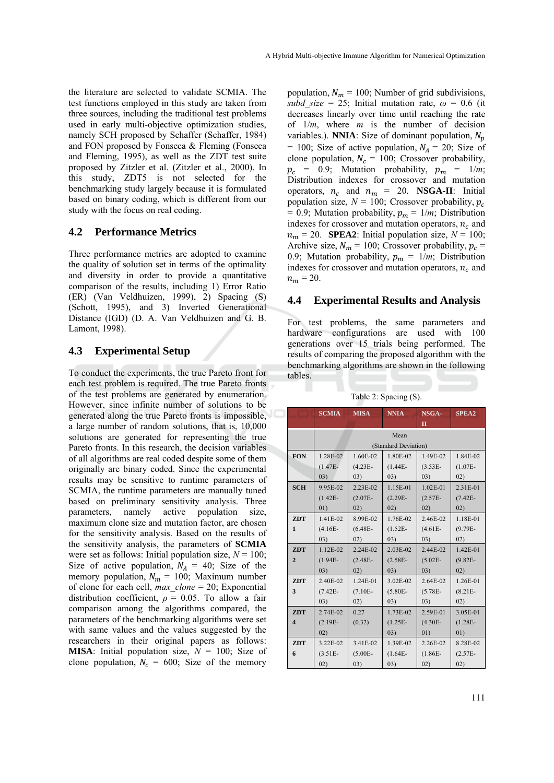the literature are selected to validate SCMIA. The test functions employed in this study are taken from three sources, including the traditional test problems used in early multi-objective optimization studies, namely SCH proposed by Schaffer (Schaffer, 1984) and FON proposed by Fonseca & Fleming (Fonseca and Fleming, 1995), as well as the ZDT test suite proposed by Zitzler et al. (Zitzler et al., 2000). In this study, ZDT5 is not selected for the benchmarking study largely because it is formulated based on binary coding, which is different from our study with the focus on real coding.

#### **4.2 Performance Metrics**

Three performance metrics are adopted to examine the quality of solution set in terms of the optimality and diversity in order to provide a quantitative comparison of the results, including 1) Error Ratio (ER) (Van Veldhuizen, 1999), 2) Spacing (S) (Schott, 1995), and 3) Inverted Generational Distance (IGD) (D. A. Van Veldhuizen and G. B. Lamont, 1998).

#### **4.3 Experimental Setup**

To conduct the experiments, the true Pareto front for each test problem is required. The true Pareto fronts of the test problems are generated by enumeration. However, since infinite number of solutions to be generated along the true Pareto fronts is impossible, a large number of random solutions, that is, 10,000 solutions are generated for representing the true Pareto fronts. In this research, the decision variables of all algorithms are real coded despite some of them originally are binary coded. Since the experimental results may be sensitive to runtime parameters of SCMIA, the runtime parameters are manually tuned based on preliminary sensitivity analysis. Three parameters, namely active population size, maximum clone size and mutation factor, are chosen for the sensitivity analysis. Based on the results of the sensitivity analysis, the parameters of **SCMIA** were set as follows: Initial population size,  $N = 100$ ; Size of active population,  $N_A = 40$ ; Size of the memory population,  $N_m = 100$ ; Maximum number of clone for each cell, *max\_clone* = 20; Exponential distribution coefficient,  $\rho = 0.05$ . To allow a fair comparison among the algorithms compared, the parameters of the benchmarking algorithms were set with same values and the values suggested by the researchers in their original papers as follows: **MISA**: Initial population size,  $N = 100$ ; Size of clone population,  $N_c = 600$ ; Size of the memory

population,  $N_m = 100$ ; Number of grid subdivisions, *subd* size = 25; Initial mutation rate,  $\omega$  = 0.6 (it decreases linearly over time until reaching the rate of 1/*m*, where *m* is the number of decision variables.). **NNIA**: Size of dominant population,  $N_p$ = 100; Size of active population,  $N_A$  = 20; Size of clone population,  $N_c = 100$ ; Crossover probability,  $p_c = 0.9$ ; Mutation probability,  $p_m = 1/m$ ; Distribution indexes for crossover and mutation operators,  $n_c$  and  $n_m = 20$ . **NSGA-II**: Initial population size,  $N = 100$ ; Crossover probability,  $p_c$  $= 0.9$ ; Mutation probability,  $p_m = 1/m$ ; Distribution indexes for crossover and mutation operators,  $n_c$  and  $n_m = 20$ . **SPEA2**: Initial population size,  $N = 100$ ; Archive size,  $N_m = 100$ ; Crossover probability,  $p_c$  = 0.9; Mutation probability,  $p_m = 1/m$ ; Distribution indexes for crossover and mutation operators,  $n_c$  and  $n_m = 20$ .

#### **4.4 Experimental Results and Analysis**

For test problems, the same parameters and hardware configurations are used with 100 generations over 15 trials being performed. The results of comparing the proposed algorithm with the benchmarking algorithms are shown in the following tables.

|                         | <b>SCMIA</b> | <b>MISA</b> | <b>NNIA</b>          | NSGA-        | <b>SPEA2</b> |
|-------------------------|--------------|-------------|----------------------|--------------|--------------|
|                         |              |             |                      | $\mathbf{I}$ |              |
|                         | Mean         |             |                      |              |              |
|                         |              |             | (Standard Deviation) |              |              |
| <b>FON</b>              | 1.28E-02     | 1.60E-02    | 1.80E-02             | 1.49E-02     | 1.84E-02     |
|                         | $(1.47E -$   | $(4.23E -$  | $(1.44E -$           | $(3.53E -$   | $(1.07E -$   |
|                         | (03)         | (03)        | (03)                 | (03)         | 02)          |
| <b>SCH</b>              | 9.95E-02     | 2.23E-02    | 1.15E-01             | $1.02E - 01$ | 2.31E-01     |
|                         | $(1.42E -$   | $(2.07E -$  | $(2.29E -$           | $(2.57E -$   | $(7.42E -$   |
|                         | 01)          | 02)         | 02)                  | 02)          | 02)          |
| <b>ZDT</b>              | 1.41E-02     | 8.99E-02    | 1.76E-02             | 2.46E-02     | 1.18E-01     |
| $\mathbf{1}$            | $(4.16E -$   | $(6.48E -$  | $(1.52E -$           | $(4.61E -$   | $(9.79E -$   |
|                         | (03)         | (02)        | (03)                 | (03)         | 02)          |
| <b>ZDT</b>              | 1.12E-02     | 2.24E-02    | 2.03E-02             | 2.44E-02     | 1.42E-01     |
| $\overline{2}$          | $(1.94E -$   | $(2.48E -$  | $(2.58E -$           | $(5.02E -$   | $(9.82E -$   |
|                         | (03)         | 02)         | 03)                  | 03)          | 02)          |
| <b>ZDT</b>              | 2.40E-02     | 1.24E-01    | 3.02E-02             | 2.64E-02     | 1.26E-01     |
| 3                       | $(7.42E -$   | $(7.10E -$  | $(5.80E -$           | $(5.78E -$   | $(8.21E -$   |
|                         | 03)          | 02)         | (03)                 | (03)         | 02)          |
| <b>ZDT</b>              | 2.74E-02     | 0.27        | 1.73E-02             | 2.59E-01     | 3.05E-01     |
| $\overline{\mathbf{4}}$ | $(2.19E -$   | (0.32)      | $(1.25E -$           | $(4.30E -$   | $(1.28E -$   |
|                         | 02)          |             | (03)                 | 01)          | 01)          |
| <b>ZDT</b>              | 3.22E-02     | 3.41E-02    | 1.39E-02             | 2.26E-02     | 8.28E-02     |
| 6                       | $(3.51E -$   | $(5.00E -$  | $(1.64E -$           | $(1.86E -$   | $(2.57E -$   |
|                         | 02)          | (03)        | (03)                 | (02)         | (02)         |

Table 2: Spacing (S).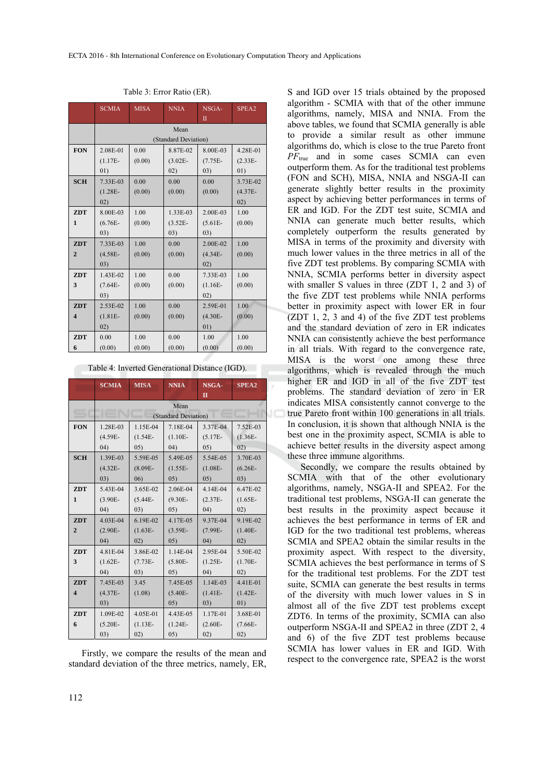|                         | <b>SCMIA</b> | <b>MISA</b> | <b>NNIA</b>          | NSGA-        | SPEA2      |  |
|-------------------------|--------------|-------------|----------------------|--------------|------------|--|
|                         |              |             |                      | $\mathbf{I}$ |            |  |
|                         |              | Mean        |                      |              |            |  |
|                         |              |             | (Standard Deviation) |              |            |  |
| <b>FON</b>              | 2.08E-01     | 0.00        | 8.87E-02             | 8.00E-03     | 4.28E-01   |  |
|                         | $(1.17E -$   | (0.00)      | $(3.02E -$           | $(7.75E -$   | $(2.33E -$ |  |
|                         | 01)          |             | 02)                  | 03)          | 01)        |  |
| <b>SCH</b>              | 7.33E-03     | 0.00        | 0.00                 | 0.00         | 3.73E-02   |  |
|                         | $(1.28E -$   | (0.00)      | (0.00)               | (0.00)       | $(4.37E -$ |  |
|                         | 02)          |             |                      |              | 02)        |  |
| <b>ZDT</b>              | 8.00E-03     | 1.00        | 1.33E-03             | 2.00E-03     | 1.00       |  |
| $\mathbf{1}$            | $(6.76E -$   | (0.00)      | $(3.52E -$           | $(5.61E -$   | (0.00)     |  |
|                         | 03)          |             | 03)                  | 03)          |            |  |
| <b>ZDT</b>              | 7.33E-03     | 1.00        | 0.00                 | 2.00E-02     | 1.00       |  |
| $\overline{2}$          | $(4.58E -$   | (0.00)      | (0.00)               | $(4.34E -$   | (0.00)     |  |
|                         | 03)          |             |                      | 02)          |            |  |
| <b>ZDT</b>              | 1.43E-02     | 1.00        | 0.00                 | 7.33E-03     | 1.00       |  |
| 3                       | $(7.64E -$   | (0.00)      | (0.00)               | $(1.16E -$   | (0.00)     |  |
|                         | 03)          |             |                      | 02)          |            |  |
| <b>ZDT</b>              | 2.53E-02     | 1.00        | 0.00                 | 2.59E-01     | 1.00       |  |
| $\overline{\mathbf{4}}$ | $(1.81E -$   | (0.00)      | (0.00)               | $(4.30E -$   | (0.00)     |  |
|                         | 02)          |             |                      | 01)          |            |  |
| <b>ZDT</b>              | 0.00         | 1.00        | 0.00                 | 1.00         | 1.00       |  |
| 6                       | (0.00)       | (0.00)      | (0.00)               | (0.00)       | (0.00)     |  |

Table 3: Error Ratio (ER).

Table 4: Inverted Generational Distance (IGD).

|                         | <b>SCMIA</b> | <b>MISA</b> | <b>NNIA</b>          | NSGA-        | <b>SPEA2</b> |
|-------------------------|--------------|-------------|----------------------|--------------|--------------|
|                         |              |             |                      | $\mathbf{I}$ |              |
|                         |              |             | Mean                 |              |              |
|                         |              |             | (Standard Deviation) |              |              |
| <b>FON</b>              | 1.28E-03     | 1.15E-04    | 7.18E-04             | 3.37E-04     | 7.52E-03     |
|                         | $(4.59E -$   | $(1.54E -$  | $(1.10E -$           | $(5.17E-$    | $(1.36E -$   |
|                         | (04)         | (05)        | (04)                 | (05)         | 02)          |
| <b>SCH</b>              | 1.39E-03     | 5.59E-05    | 5.49E-05             | 5.54E-05     | 3.70E-03     |
|                         | $(4.32E -$   | $(8.09E -$  | $(1.55E -$           | $(1.08E -$   | $(6.26E -$   |
|                         | 03)          | (06)        | (05)                 | 05)          | 03)          |
| <b>ZDT</b>              | 5.43E-04     | 3.65E-02    | 2.06E-04             | 4.14E-04     | 6.47E-02     |
| $\mathbf{1}$            | $(3.90E -$   | $(5.44E -$  | $(9.30E -$           | $(2.37E-$    | $(1.65E -$   |
|                         | (04)         | (03)        | (05)                 | (04)         | 02)          |
| <b>ZDT</b>              | 4.03E-04     | 6.19E-02    | 4.17E-05             | 9.37E-04     | 9.19E-02     |
| $\overline{2}$          | $(2.90E -$   | $(1.63E -$  | $(3.59E -$           | $(7.99E -$   | $(1.40E -$   |
|                         | (04)         | 02)         | 05)                  | (04)         | 02)          |
| <b>ZDT</b>              | 4.81E-04     | 3.86E-02    | 1.14E-04             | 2.95E-04     | 5.50E-02     |
| 3                       | $(1.62E -$   | $(7.73E -$  | $(5.80E -$           | $(1.25E -$   | $(1.70E -$   |
|                         | (04)         | (03)        | (05)                 | (04)         | 02)          |
| <b>ZDT</b>              | 7.45E-03     | 3.45        | 7.45E-05             | 1.14E-03     | 4.41E-01     |
| $\overline{\mathbf{4}}$ | $(4.37E -$   | (1.08)      | $(5.40E -$           | $(1.41E -$   | $(1.42E -$   |
|                         | 03)          |             | 05)                  | (03)         | 01)          |
| <b>ZDT</b>              | 1.09E-02     | 4.05E-01    | 4.43E-05             | 1.17E-01     | 3.68E-01     |
| 6                       | $(5.20E -$   | $(1.13E -$  | $(1.24E -$           | $(2.60E -$   | $(7.66E -$   |
|                         | (03)         | (02)        | (05)                 | (02)         | 02)          |

Firstly, we compare the results of the mean and standard deviation of the three metrics, namely, ER,

S and IGD over 15 trials obtained by the proposed algorithm - SCMIA with that of the other immune algorithms, namely, MISA and NNIA. From the above tables, we found that SCMIA generally is able to provide a similar result as other immune algorithms do, which is close to the true Pareto front *PF*true and in some cases SCMIA can even outperform them. As for the traditional test problems (FON and SCH), MISA, NNIA and NSGA-II can generate slightly better results in the proximity aspect by achieving better performances in terms of ER and IGD. For the ZDT test suite, SCMIA and NNIA can generate much better results, which completely outperform the results generated by MISA in terms of the proximity and diversity with much lower values in the three metrics in all of the five ZDT test problems. By comparing SCMIA with NNIA, SCMIA performs better in diversity aspect with smaller S values in three (ZDT 1, 2 and 3) of the five ZDT test problems while NNIA performs better in proximity aspect with lower ER in four (ZDT 1, 2, 3 and 4) of the five ZDT test problems and the standard deviation of zero in ER indicates NNIA can consistently achieve the best performance in all trials. With regard to the convergence rate, MISA is the worst one among these three algorithms, which is revealed through the much higher ER and IGD in all of the five ZDT test problems. The standard deviation of zero in ER indicates MISA consistently cannot converge to the true Pareto front within 100 generations in all trials. In conclusion, it is shown that although NNIA is the best one in the proximity aspect, SCMIA is able to achieve better results in the diversity aspect among these three immune algorithms.

Secondly, we compare the results obtained by SCMIA with that of the other evolutionary algorithms, namely, NSGA-II and SPEA2. For the traditional test problems, NSGA-II can generate the best results in the proximity aspect because it achieves the best performance in terms of ER and IGD for the two traditional test problems, whereas SCMIA and SPEA2 obtain the similar results in the proximity aspect. With respect to the diversity, SCMIA achieves the best performance in terms of S for the traditional test problems. For the ZDT test suite, SCMIA can generate the best results in terms of the diversity with much lower values in S in almost all of the five ZDT test problems except ZDT6. In terms of the proximity, SCMIA can also outperform NSGA-II and SPEA2 in three (ZDT 2, 4 and 6) of the five ZDT test problems because SCMIA has lower values in ER and IGD. With respect to the convergence rate, SPEA2 is the worst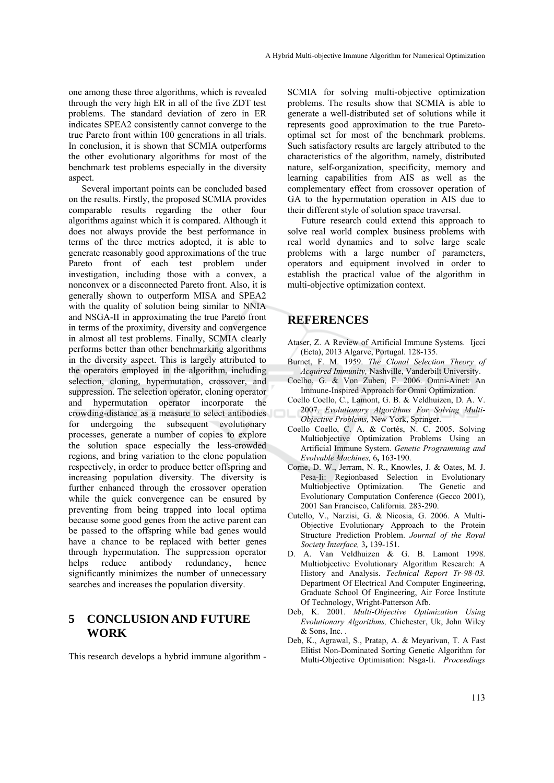one among these three algorithms, which is revealed through the very high ER in all of the five ZDT test problems. The standard deviation of zero in ER indicates SPEA2 consistently cannot converge to the true Pareto front within 100 generations in all trials. In conclusion, it is shown that SCMIA outperforms the other evolutionary algorithms for most of the benchmark test problems especially in the diversity aspect.

Several important points can be concluded based on the results. Firstly, the proposed SCMIA provides comparable results regarding the other four algorithms against which it is compared. Although it does not always provide the best performance in terms of the three metrics adopted, it is able to generate reasonably good approximations of the true Pareto front of each test problem under investigation, including those with a convex, a nonconvex or a disconnected Pareto front. Also, it is generally shown to outperform MISA and SPEA2 with the quality of solution being similar to NNIA and NSGA-II in approximating the true Pareto front in terms of the proximity, diversity and convergence in almost all test problems. Finally, SCMIA clearly performs better than other benchmarking algorithms in the diversity aspect. This is largely attributed to the operators employed in the algorithm, including selection, cloning, hypermutation, crossover, and suppression. The selection operator, cloning operator and hypermutation operator incorporate the crowding-distance as a measure to select antibodies for undergoing the subsequent evolutionary processes, generate a number of copies to explore the solution space especially the less-crowded regions, and bring variation to the clone population respectively, in order to produce better offspring and increasing population diversity. The diversity is further enhanced through the crossover operation while the quick convergence can be ensured by preventing from being trapped into local optima because some good genes from the active parent can be passed to the offspring while bad genes would have a chance to be replaced with better genes through hypermutation. The suppression operator helps reduce antibody redundancy, hence significantly minimizes the number of unnecessary searches and increases the population diversity.

## **5 CONCLUSION AND FUTURE WORK**

This research develops a hybrid immune algorithm -

SCMIA for solving multi-objective optimization problems. The results show that SCMIA is able to generate a well-distributed set of solutions while it represents good approximation to the true Paretooptimal set for most of the benchmark problems. Such satisfactory results are largely attributed to the characteristics of the algorithm, namely, distributed nature, self-organization, specificity, memory and learning capabilities from AIS as well as the complementary effect from crossover operation of GA to the hypermutation operation in AIS due to their different style of solution space traversal.

Future research could extend this approach to solve real world complex business problems with real world dynamics and to solve large scale problems with a large number of parameters, operators and equipment involved in order to establish the practical value of the algorithm in multi-objective optimization context.

### **REFERENCES**

- Ataser, Z. A Review of Artificial Immune Systems. Ijcci (Ecta), 2013 Algarve, Portugal. 128-135.
- Burnet, F. M. 1959. *The Clonal Selection Theory of Acquired Immunity,* Nashville, Vanderbilt University.
- Coelho, G. & Von Zuben, F. 2006. Omni-Ainet: An Immune-Inspired Approach for Omni Optimization.
- Coello Coello, C., Lamont, G. B. & Veldhuizen, D. A. V. 2007. *Evolutionary Algorithms For Solving Multi-Objective Problems,* New York, Springer.
- Coello Coello, C. A. & Cortés, N. C. 2005. Solving Multiobjective Optimization Problems Using an Artificial Immune System. *Genetic Programming and Evolvable Machines,* 6**,** 163-190.
- Corne, D. W., Jerram, N. R., Knowles, J. & Oates, M. J. Pesa-Ii: Regionbased Selection in Evolutionary Multiobjective Optimization. The Genetic and Evolutionary Computation Conference (Gecco 2001), 2001 San Francisco, California. 283-290.
- Cutello, V., Narzisi, G. & Nicosia, G. 2006. A Multi-Objective Evolutionary Approach to the Protein Structure Prediction Problem. *Journal of the Royal Society Interface,* 3**,** 139-151.
- D. A. Van Veldhuizen & G. B. Lamont 1998. Multiobjective Evolutionary Algorithm Research: A History and Analysis. *Technical Report Tr-98-03.* Department Of Electrical And Computer Engineering, Graduate School Of Engineering, Air Force Institute Of Technology, Wright-Patterson Afb.
- Deb, K. 2001. *Multi-Objective Optimization Using Evolutionary Algorithms,* Chichester, Uk, John Wiley & Sons, Inc. .
- Deb, K., Agrawal, S., Pratap, A. & Meyarivan, T. A Fast Elitist Non-Dominated Sorting Genetic Algorithm for Multi-Objective Optimisation: Nsga-Ii. *Proceedings*